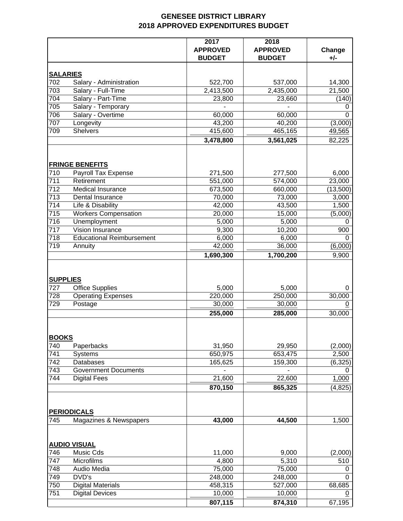## **GENESEE DISTRICT LIBRARY 2018 APPROVED EXPENDITURES BUDGET**

|                        |                                          | 2017<br><b>APPROVED</b><br><b>BUDGET</b> | 2018<br><b>APPROVED</b><br><b>BUDGET</b> | Change<br>+/-            |
|------------------------|------------------------------------------|------------------------------------------|------------------------------------------|--------------------------|
|                        | <b>SALARIES</b>                          |                                          |                                          |                          |
| 702                    | Salary - Administration                  | 522,700                                  | 537,000                                  | 14,300                   |
| 703                    | Salary - Full-Time                       | 2,413,500                                | 2,435,000                                | 21,500                   |
| 704                    | Salary - Part-Time                       | 23,800                                   | 23,660                                   | (140)                    |
| 705                    | Salary - Temporary                       |                                          |                                          | 0                        |
| 706                    | Salary - Overtime                        | 60,000                                   | 60,000                                   | $\overline{0}$           |
| 707                    | Longevity                                | 43,200                                   | 40,200                                   | (3,000)                  |
| 709                    | <b>Shelvers</b>                          | 415,600                                  | 465,165                                  | 49,565                   |
|                        |                                          | 3,478,800                                | 3,561,025                                | 82,225                   |
|                        | <b>FRINGE BENEFITS</b>                   |                                          |                                          |                          |
| 710                    | Payroll Tax Expense                      | 271,500                                  | 277,500                                  | 6,000                    |
| 711                    | Retirement                               | 551,000                                  | 574,000                                  | 23,000                   |
| 712                    | Medical Insurance                        | 673,500                                  | 660,000                                  | (13,500)                 |
| 713                    | Dental Insurance                         | 70,000                                   | 73,000                                   | 3,000                    |
| 714                    | Life & Disability                        | 42,000                                   | 43,500                                   | 1,500                    |
| 715                    | <b>Workers Compensation</b>              | 20,000                                   | 15,000                                   | (5,000)                  |
| 716                    | Unemployment                             | 5,000                                    | 5,000                                    | 0                        |
| 717                    | Vision Insurance                         | 9,300                                    | 10,200                                   | 900                      |
| 718                    | <b>Educational Reimbursement</b>         | 6,000                                    | 6,000                                    | 0                        |
| 719                    | Annuity                                  | 42,000                                   | 36,000                                   | (6,000)                  |
|                        |                                          | 1,690,300                                | 1,700,200                                | 9,900                    |
| <b>SUPPLIES</b><br>727 | <b>Office Supplies</b>                   | 5,000                                    | 5,000                                    | 0                        |
| 728                    | <b>Operating Expenses</b>                | 220,000                                  | 250,000                                  | 30,000                   |
| 729                    | Postage                                  | 30,000<br>255,000                        | 30,000<br>285,000                        | $\overline{0}$<br>30,000 |
| <b>BOOKS</b>           |                                          |                                          |                                          |                          |
| 740                    | Paperbacks                               | 31,950                                   | 29,950                                   | (2,000)                  |
| 741                    | Systems                                  | 650,975                                  | 653,475                                  | 2,500                    |
| 742<br>743             | Databases<br><b>Government Documents</b> | 165,625                                  | 159,300                                  | (6, 325)<br>0            |
| 744                    | <b>Digital Fees</b>                      | 21,600                                   | 22,600                                   | 1,000                    |
|                        |                                          | 870,150                                  | 865,325                                  | (4, 825)                 |
|                        | <b>PERIODICALS</b>                       |                                          |                                          |                          |
| 745                    | Magazines & Newspapers                   | 43,000                                   | 44,500                                   | 1,500                    |
|                        | <b>AUDIO VISUAL</b>                      |                                          |                                          |                          |
| 746                    | Music Cds                                | 11,000                                   | 9,000                                    | (2,000)                  |
| 747                    | Microfilms                               | 4,800                                    | 5,310                                    | 510                      |
| 748                    | Audio Media                              | 75,000                                   | 75,000                                   | 0                        |
| 749                    | DVD's                                    | 248,000                                  | 248,000                                  | 0                        |
| 750                    | <b>Digital Materials</b>                 | 458,315                                  | 527,000                                  | 68,685                   |
| 751                    | <b>Digital Devices</b>                   | 10,000                                   | 10,000                                   | 0                        |
|                        |                                          | 807,115                                  | 874,310                                  | 67,195                   |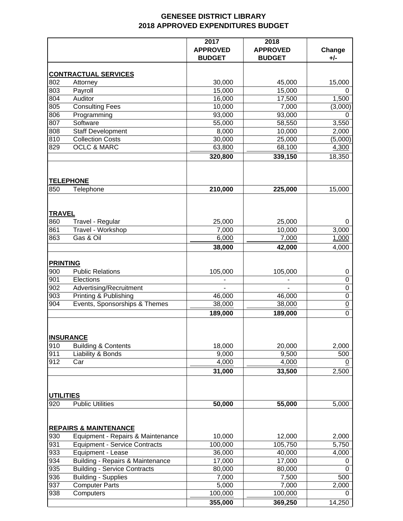## **GENESEE DISTRICT LIBRARY 2018 APPROVED EXPENDITURES BUDGET**

|                  |                                      | 2017<br><b>APPROVED</b><br><b>BUDGET</b> | 2018<br><b>APPROVED</b><br><b>BUDGET</b> | Change<br>+/-   |
|------------------|--------------------------------------|------------------------------------------|------------------------------------------|-----------------|
|                  | <b>CONTRACTUAL SERVICES</b>          |                                          |                                          |                 |
| 802              | Attorney                             | 30,000                                   | 45,000                                   | 15,000          |
| 803              | Payroll                              | 15,000                                   | 15,000                                   | 0               |
| 804              | Auditor                              | 16,000                                   | 17,500                                   | 1,500           |
| 805              | <b>Consulting Fees</b>               | 10,000                                   | 7,000                                    | (3,000)         |
| 806              | Programming                          | 93,000                                   | 93,000                                   | $\Omega$        |
| 807              | Software                             | 55,000                                   | 58,550                                   | 3,550           |
| 808              | <b>Staff Development</b>             | 8,000                                    | 10,000                                   | 2,000           |
| 810              | <b>Collection Costs</b>              | 30,000                                   | 25,000                                   | (5,000)         |
| 829              | <b>OCLC &amp; MARC</b>               | 63,800                                   | 68,100                                   | 4,300           |
|                  |                                      | 320,800                                  | 339,150                                  | 18,350          |
|                  | <b>TELEPHONE</b>                     |                                          |                                          |                 |
| 850              | Telephone                            | 210,000                                  | 225,000                                  | 15,000          |
| <b>TRAVEL</b>    |                                      |                                          |                                          |                 |
| 860              | Travel - Regular                     | 25,000                                   | 25,000                                   | 0               |
| 861              | Travel - Workshop                    | 7,000                                    | 10,000                                   | 3,000           |
| 863              | Gas & Oil                            | 6,000                                    | 7,000                                    | 1,000           |
|                  |                                      | 38,000                                   | 42,000                                   | 4,000           |
| <b>PRINTING</b>  |                                      |                                          |                                          |                 |
| 900              | <b>Public Relations</b>              | 105,000                                  | 105,000                                  | 0               |
| 901              | Elections                            |                                          |                                          | $\pmb{0}$       |
| 902              | Advertising/Recruitment              |                                          |                                          | $\pmb{0}$       |
| 903              | Printing & Publishing                | 46,000                                   | 46,000                                   | $\pmb{0}$       |
| 904              | Events, Sponsorships & Themes        | 38,000                                   | 38,000                                   | $\underline{0}$ |
|                  |                                      | 189,000                                  | 189,000                                  | $\mathbf 0$     |
|                  | <b>INSURANCE</b>                     |                                          |                                          |                 |
| 910              | <b>Building &amp; Contents</b>       | 18,000                                   | 20,000                                   | 2,000           |
| 911              | Liability & Bonds                    | 9,000                                    | 9,500                                    | 500             |
| 912              | Car                                  | 4,000                                    | 4,000                                    | 0               |
|                  |                                      | 31,000                                   | 33,500                                   | 2,500           |
| <b>UTILITIES</b> |                                      |                                          |                                          |                 |
| 920              | <b>Public Utilities</b>              | 50,000                                   | 55,000                                   | 5,000           |
|                  | <b>REPAIRS &amp; MAINTENANCE</b>     |                                          |                                          |                 |
| 930              | Equipment - Repairs & Maintenance    | 10,000                                   | 12,000                                   | 2,000           |
| 931              | <b>Equipment - Service Contracts</b> | 100,000                                  | 105,750                                  | 5,750           |
| 933              | Equipment - Lease                    | 36,000                                   | 40,000                                   | 4,000           |
| 934              | Building - Repairs & Maintenance     | 17,000                                   | 17,000                                   | 0               |
| 935              | <b>Building - Service Contracts</b>  | 80,000                                   | 80,000                                   | 0               |
| 936              | <b>Building - Supplies</b>           | 7,000                                    | 7,500                                    | 500             |
| 937<br>938       | <b>Computer Parts</b><br>Computers   | 5,000                                    | 7,000                                    | 2,000<br>0      |
|                  |                                      | 100,000<br>355,000                       | 100,000<br>369,250                       | 14,250          |